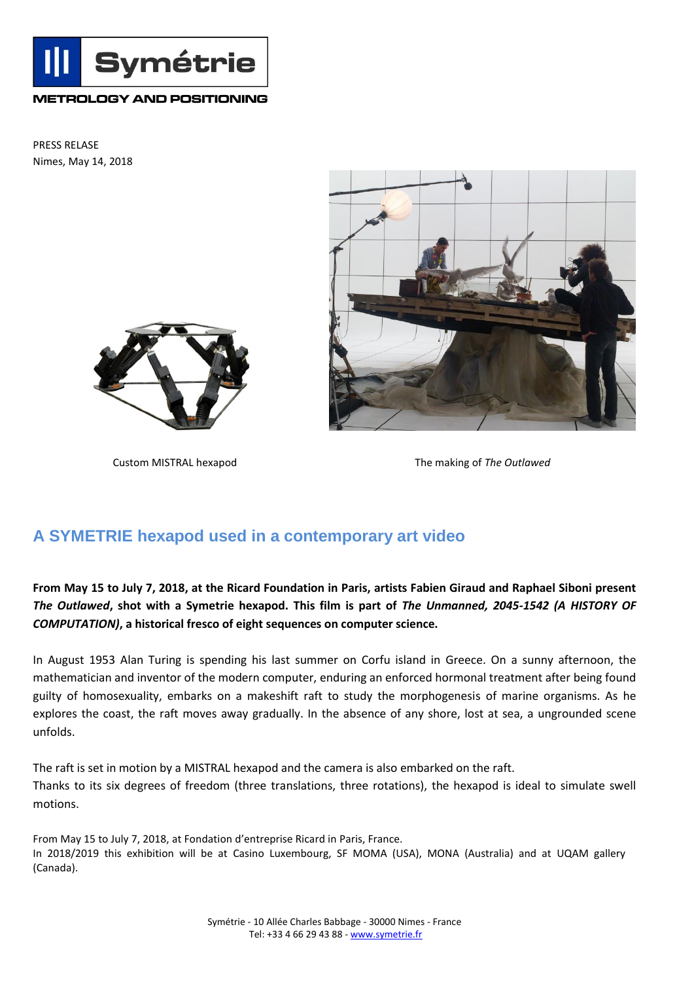

## **METROLOGY AND POSITIONING**

PRESS RELASE Nimes, May 14, 2018





Custom MISTRAL hexapod The making of *The Outlawed*

## **A SYMETRIE hexapod used in a contemporary art video**

**From May 15 to July 7, 2018, at the Ricard Foundation in Paris, artists Fabien Giraud and Raphael Siboni present**  *The Outlawed***, shot with a Symetrie hexapod. This film is part of** *The Unmanned, 2045-1542 (A HISTORY OF COMPUTATION)***, a historical fresco of eight sequences on computer science.**

In August 1953 Alan Turing is spending his last summer on Corfu island in Greece. On a sunny afternoon, the mathematician and inventor of the modern computer, enduring an enforced hormonal treatment after being found guilty of homosexuality, embarks on a makeshift raft to study the morphogenesis of marine organisms. As he explores the coast, the raft moves away gradually. In the absence of any shore, lost at sea, a ungrounded scene unfolds.

The raft is set in motion by a MISTRAL hexapod and the camera is also embarked on the raft. Thanks to its six degrees of freedom (three translations, three rotations), the hexapod is ideal to simulate swell motions.

From May 15 to July 7, 2018, at Fondation d'entreprise Ricard in Paris, France. In 2018/2019 this exhibition will be at Casino Luxembourg, SF MOMA (USA), MONA (Australia) and at UQAM gallery (Canada).